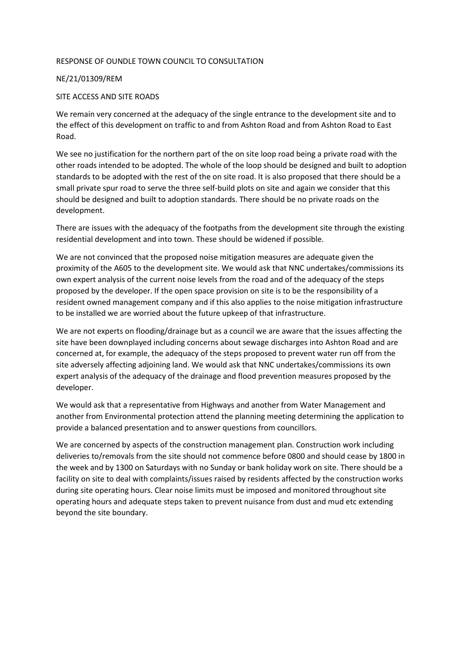## RESPONSE OF OUNDLE TOWN COUNCIL TO CONSULTATION

## NE/21/01309/REM

## SITE ACCESS AND SITE ROADS

We remain very concerned at the adequacy of the single entrance to the development site and to the effect of this development on traffic to and from Ashton Road and from Ashton Road to East Road.

We see no justification for the northern part of the on site loop road being a private road with the other roads intended to be adopted. The whole of the loop should be designed and built to adoption standards to be adopted with the rest of the on site road. It is also proposed that there should be a small private spur road to serve the three self-build plots on site and again we consider that this should be designed and built to adoption standards. There should be no private roads on the development.

There are issues with the adequacy of the footpaths from the development site through the existing residential development and into town. These should be widened if possible.

We are not convinced that the proposed noise mitigation measures are adequate given the proximity of the A605 to the development site. We would ask that NNC undertakes/commissions its own expert analysis of the current noise levels from the road and of the adequacy of the steps proposed by the developer. If the open space provision on site is to be the responsibility of a resident owned management company and if this also applies to the noise mitigation infrastructure to be installed we are worried about the future upkeep of that infrastructure.

We are not experts on flooding/drainage but as a council we are aware that the issues affecting the site have been downplayed including concerns about sewage discharges into Ashton Road and are concerned at, for example, the adequacy of the steps proposed to prevent water run off from the site adversely affecting adjoining land. We would ask that NNC undertakes/commissions its own expert analysis of the adequacy of the drainage and flood prevention measures proposed by the developer.

We would ask that a representative from Highways and another from Water Management and another from Environmental protection attend the planning meeting determining the application to provide a balanced presentation and to answer questions from councillors.

We are concerned by aspects of the construction management plan. Construction work including deliveries to/removals from the site should not commence before 0800 and should cease by 1800 in the week and by 1300 on Saturdays with no Sunday or bank holiday work on site. There should be a facility on site to deal with complaints/issues raised by residents affected by the construction works during site operating hours. Clear noise limits must be imposed and monitored throughout site operating hours and adequate steps taken to prevent nuisance from dust and mud etc extending beyond the site boundary.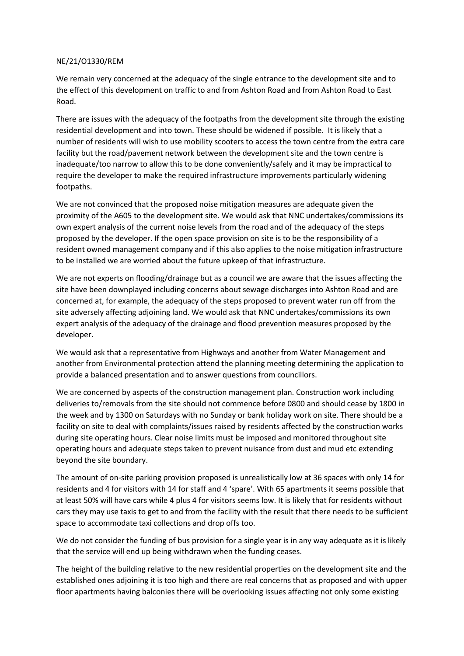## NE/21/O1330/REM

We remain very concerned at the adequacy of the single entrance to the development site and to the effect of this development on traffic to and from Ashton Road and from Ashton Road to East Road.

There are issues with the adequacy of the footpaths from the development site through the existing residential development and into town. These should be widened if possible. It is likely that a number of residents will wish to use mobility scooters to access the town centre from the extra care facility but the road/pavement network between the development site and the town centre is inadequate/too narrow to allow this to be done conveniently/safely and it may be impractical to require the developer to make the required infrastructure improvements particularly widening footpaths.

We are not convinced that the proposed noise mitigation measures are adequate given the proximity of the A605 to the development site. We would ask that NNC undertakes/commissions its own expert analysis of the current noise levels from the road and of the adequacy of the steps proposed by the developer. If the open space provision on site is to be the responsibility of a resident owned management company and if this also applies to the noise mitigation infrastructure to be installed we are worried about the future upkeep of that infrastructure.

We are not experts on flooding/drainage but as a council we are aware that the issues affecting the site have been downplayed including concerns about sewage discharges into Ashton Road and are concerned at, for example, the adequacy of the steps proposed to prevent water run off from the site adversely affecting adjoining land. We would ask that NNC undertakes/commissions its own expert analysis of the adequacy of the drainage and flood prevention measures proposed by the developer.

We would ask that a representative from Highways and another from Water Management and another from Environmental protection attend the planning meeting determining the application to provide a balanced presentation and to answer questions from councillors.

We are concerned by aspects of the construction management plan. Construction work including deliveries to/removals from the site should not commence before 0800 and should cease by 1800 in the week and by 1300 on Saturdays with no Sunday or bank holiday work on site. There should be a facility on site to deal with complaints/issues raised by residents affected by the construction works during site operating hours. Clear noise limits must be imposed and monitored throughout site operating hours and adequate steps taken to prevent nuisance from dust and mud etc extending beyond the site boundary.

The amount of on-site parking provision proposed is unrealistically low at 36 spaces with only 14 for residents and 4 for visitors with 14 for staff and 4 'spare'. With 65 apartments it seems possible that at least 50% will have cars while 4 plus 4 for visitors seems low. It is likely that for residents without cars they may use taxis to get to and from the facility with the result that there needs to be sufficient space to accommodate taxi collections and drop offs too.

We do not consider the funding of bus provision for a single year is in any way adequate as it is likely that the service will end up being withdrawn when the funding ceases.

The height of the building relative to the new residential properties on the development site and the established ones adjoining it is too high and there are real concerns that as proposed and with upper floor apartments having balconies there will be overlooking issues affecting not only some existing